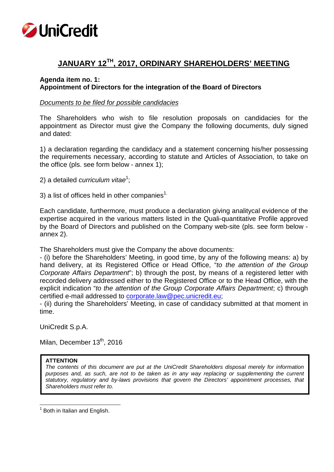

# **JANUARY 12TH, 2017, ORDINARY SHAREHOLDERS' MEETING**

# **Agenda item no. 1: Appointment of Directors for the integration of the Board of Directors**

## *Documents to be filed for possible candidacies*

The Shareholders who wish to file resolution proposals on candidacies for the appointment as Director must give the Company the following documents, duly signed and dated:

1) a declaration regarding the candidacy and a statement concerning his/her possessing the requirements necessary, according to statute and Articles of Association, to take on the office (pls. see form below - annex 1);

2) a detailed *curriculum vitae*<sup>1</sup>;

3) a list of offices held in other companies<sup>1.</sup>

Each candidate, furthermore, must produce a declaration giving analitycal evidence of the expertise acquired in the various matters listed in the Quali-quantitative Profile approved by the Board of Directors and published on the Company web-site (pls. see form below annex 2).

The Shareholders must give the Company the above documents:

- (i) before the Shareholders' Meeting, in good time, by any of the following means: a) by hand delivery, at its Registered Office or Head Office, "*to the attention of the Group Corporate Affairs Department*"; b) through the post, by means of a registered letter with recorded delivery addressed either to the Registered Office or to the Head Office, with the explicit indication "*to the attention of the Group Corporate Affairs Department*; c) through certified e-mail addressed to corporate.law@pec.unicredit.eu;

- (ii) during the Shareholders' Meeting, in case of candidacy submitted at that moment in time.

UniCredit S.p.A.

Milan, December 13<sup>th</sup>, 2016

#### **ATTENTION**

*The contents of this document are put at the UniCredit Shareholders disposal merely for information purposes and, as such, are not to be taken as in any way replacing or supplementing the current statutory, regulatory and by-laws provisions that govern the Directors' appointment processes, that Shareholders must refer to.*

 $<sup>1</sup>$  Both in Italian and English.</sup>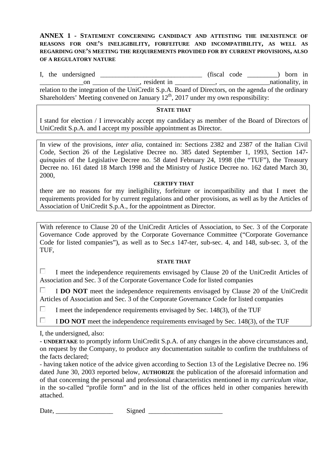# **ANNEX 1 - STATEMENT CONCERNING CANDIDACY AND ATTESTING THE INEXISTENCE OF REASONS FOR ONE'S INELIGIBILITY, FORFEITURE AND INCOMPATIBILITY, AS WELL AS REGARDING ONE'S MEETING THE REQUIREMENTS PROVIDED FOR BY CURRENT PROVISIONS, ALSO OF A REGULATORY NATURE**

I, the undersigned  $\frac{1}{\sqrt{1-\frac{1}{2}}\sqrt{1-\frac{1}{2}}\sqrt{1-\frac{1}{2}}\sqrt{1-\frac{1}{2}}\sqrt{1-\frac{1}{2}}$  (fiscal code  $\frac{1}{\sqrt{1-\frac{1}{2}}\sqrt{1-\frac{1}{2}}\sqrt{1-\frac{1}{2}}\sqrt{1-\frac{1}{2}}\sqrt{1-\frac{1}{2}}\sqrt{1-\frac{1}{2}}\sqrt{1-\frac{1}{2}}\sqrt{1-\frac{1}{2}}\sqrt{1-\frac{1}{2}}\sqrt{1-\frac{1}{2}}\sqrt{1-\frac{1}{2$  $\begin{array}{ccc}\n\text{Sine } \mathcal{L} \\
\hline\n\text{on } \text{________ \qquad \qquad ,\n\text{resident in } \text{________ \qquad \qquad },\n\end{array}$ relation to the integration of the UniCredit S.p.A. Board of Directors, on the agenda of the ordinary Shareholders' Meeting convened on January  $12<sup>th</sup>$ , 2017 under my own responsibility:

## **STATE THAT**

I stand for election / I irrevocably accept my candidacy as member of the Board of Directors of UniCredit S.p.A. and I accept my possible appointment as Director.

In view of the provisions, *inter alia*, contained in: Sections 2382 and 2387 of the Italian Civil Code, Section 26 of the Legislative Decree no. 385 dated September 1, 1993, Section 147 *quinquies* of the Legislative Decree no. 58 dated February 24, 1998 (the "TUF"), the Treasury Decree no. 161 dated 18 March 1998 and the Ministry of Justice Decree no. 162 dated March 30, 2000,

#### **CERTIFY THAT**

there are no reasons for my ineligibility, forfeiture or incompatibility and that I meet the requirements provided for by current regulations and other provisions, as well as by the Articles of Association of UniCredit S.p.A., for the appointment as Director.

With reference to Clause 20 of the UniCredit Articles of Association, to Sec. 3 of the Corporate Governance Code approved by the Corporate Governance Committee ("Corporate Governance Code for listed companies"), as well as to Sec.s 147-ter, sub-sec. 4, and 148, sub-sec. 3, of the TUF,

#### **STATE THAT**

 $\Box$ I meet the independence requirements envisaged by Clause 20 of the UniCredit Articles of Association and Sec. 3 of the Corporate Governance Code for listed companies

П. I **DO NOT** meet the independence requirements envisaged by Clause 20 of the UniCredit Articles of Association and Sec. 3 of the Corporate Governance Code for listed companies

П I meet the independence requirements envisaged by Sec. 148(3), of the TUF

П I **DO NOT** meet the independence requirements envisaged by Sec. 148(3), of the TUF

I, the undersigned, also:

- **UNDERTAKE** to promptly inform UniCredit S.p.A. of any changes in the above circumstances and, on request by the Company, to produce any documentation suitable to confirm the truthfulness of the facts declared;

*-* having taken notice of the advice given according to Section 13 of the Legislative Decree no. 196 dated June 30, 2003 reported below, **AUTHORIZE** the publication of the aforesaid information and of that concerning the personal and professional characteristics mentioned in my *curriculum vitae*, in the so-called "profile form" and in the list of the offices held in other companies herewith attached.

Date, \_\_\_\_\_\_\_\_\_\_\_\_\_\_\_\_\_ Signed \_\_\_\_\_\_\_\_\_\_\_\_\_\_\_\_\_\_\_\_\_\_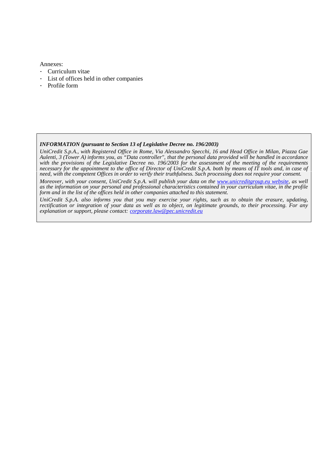Annexes:

- Curriculum vitae
- List of offices held in other companies
- Profile form

#### *INFORMATION (pursuant to Section 13 of Legislative Decree no. 196/2003)*

*UniCredit S.p.A., with Registered Office in Rome, Via Alessandro Specchi, 16 and Head Office in Milan, Piazza Gae Aulenti, 3 (Tower A) informs you, as "Data controller", that the personal data provided will be handled in accordance with the provisions of the Legislative Decree no. 196/2003 for the assessment of the meeting of the requirements necessary for the appointment to the office of Director of UniCredit S.p.A. both by means of IT tools and, in case of need, with the competent Offices in order to verify their truthfulness. Such processing does not require your consent.*

*Moreover, with your consent, UniCredit S.p.A. will publish your data on the <i>www.unicreditgroup.eu website*, as well *as the information on your personal and professional characteristics contained in your curriculum vitae, in the profile form and in the list of the offices held in other companies attached to this statement.*

*UniCredit S.p.A. also informs you that you may exercise your rights, such as to obtain the erasure, updating, rectification or integration of your data as well as to object, on legitimate grounds, to their processing. For any explanation or support, please contact: corporate.law@pec.unicredit.eu*